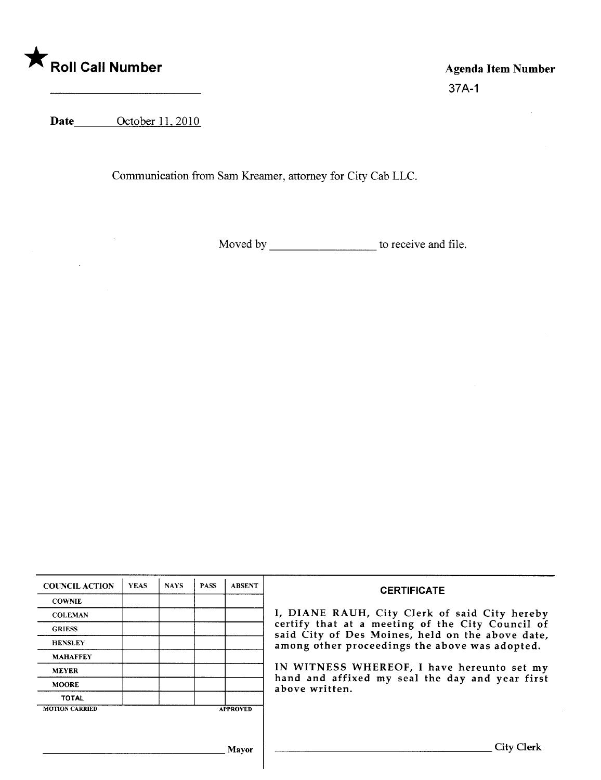

37A-1

Date October 11, 2010

 $\sim$   $\sim$ 

 $\mathcal{L}^{\mathcal{A}}$ 

Communication from Sam Kreamer, attorney for City Cab LLC.

Moved by \_\_\_\_\_\_\_\_\_\_\_\_\_\_\_\_\_\_\_\_\_\_ to receive and file.

| <b>COUNCIL ACTION</b> | <b>YEAS</b> | <b>NAYS</b> | <b>PASS</b> | <b>ABSENT</b>   | <b>CERTIFICATE</b><br>I, DIANE RAUH, City Clerk of said City hereby                                             |
|-----------------------|-------------|-------------|-------------|-----------------|-----------------------------------------------------------------------------------------------------------------|
| <b>COWNIE</b>         |             |             |             |                 |                                                                                                                 |
| <b>COLEMAN</b>        |             |             |             |                 |                                                                                                                 |
| <b>GRIESS</b>         |             |             |             |                 | certify that at a meeting of the City Council of                                                                |
| <b>HENSLEY</b>        |             |             |             |                 | said City of Des Moines, held on the above date,<br>among other proceedings the above was adopted.              |
| <b>MAHAFFEY</b>       |             |             |             |                 |                                                                                                                 |
| <b>MEYER</b>          |             |             |             |                 | IN WITNESS WHEREOF, I have hereunto set my<br>hand and affixed my seal the day and year first<br>above written. |
| <b>MOORE</b>          |             |             |             |                 |                                                                                                                 |
| TOTAL                 |             |             |             |                 |                                                                                                                 |
| <b>MOTION CARRIED</b> |             |             |             | <b>APPROVED</b> |                                                                                                                 |
|                       |             |             |             |                 |                                                                                                                 |
|                       |             |             |             |                 |                                                                                                                 |
| Mavor                 |             |             |             |                 | City                                                                                                            |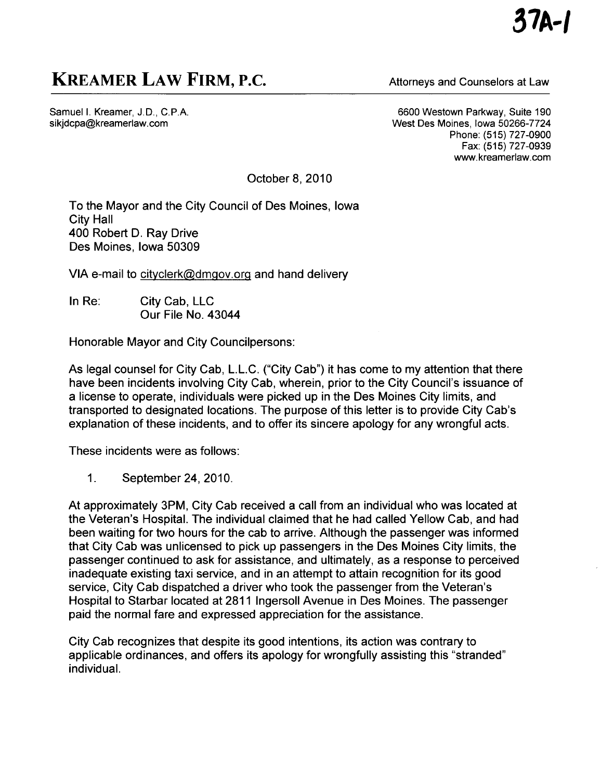## KREAMER LAW FIRM, P.C. Attorneys and Counselors at Law

Samuel I. Kreamer, J.D., C.P.A. sikjdcpa@kreamerlaw.com

6600 Westown Parkway, Suite 190 West Des Moines, Iowa 50266-7724 Phone: (515) 727-0900 Fax: (515) 727-0939 ww.kreamerlaw.com

October 8, 2010

To the Mayor and the City Council of Des Moines, Iowa City Hall 400 Robert D. Ray Drive Des Moines, Iowa 50309

VIA e-mail to cityclerk@dmgov.org and hand delivery

In Re: City Cab, LLC Our File No. 43044

Honorable Mayor and City Councilpersons:

As legal counsel for City Cab, L.L.C. ("City Cab") it has come to my attention that there have been incidents involving City Cab, wherein, prior to the City Council's issuance of a license to operate, individuals were picked up in the Des Moines City limits, and transported to designated locations. The purpose of this letter is to provide City Cab's explanation of these incidents, and to offer its sincere apology for any wrongful acts.

These incidents were as follows:

1. September 24,2010.

At approximately 3PM, City Cab received a call from an individual who was located at the Veteran's Hospital. The individual claimed that he had called Yellow Cab, and had been waiting for two hours for the cab to arrive. Although the passenger was informed that City Cab was unlicensed to pick up passengers in the Des Moines City limits, the passenger continued to ask for assistance, and ultimately, as a response to perceived inadequate existing taxi service, and in an attempt to attain recognition for its good service, City Cab dispatched a driver who took the passenger from the Veteran's Hospital to Starbar located at 2811 Ingersoll Avenue in Des Moines. The passenger paid the normal fare and expressed appreciation for the assistance.

City Cab recognizes that despite its good intentions, its action was contrary to applicable ordinances, and offers its apology for wrongfully assisting this "stranded" individuaL.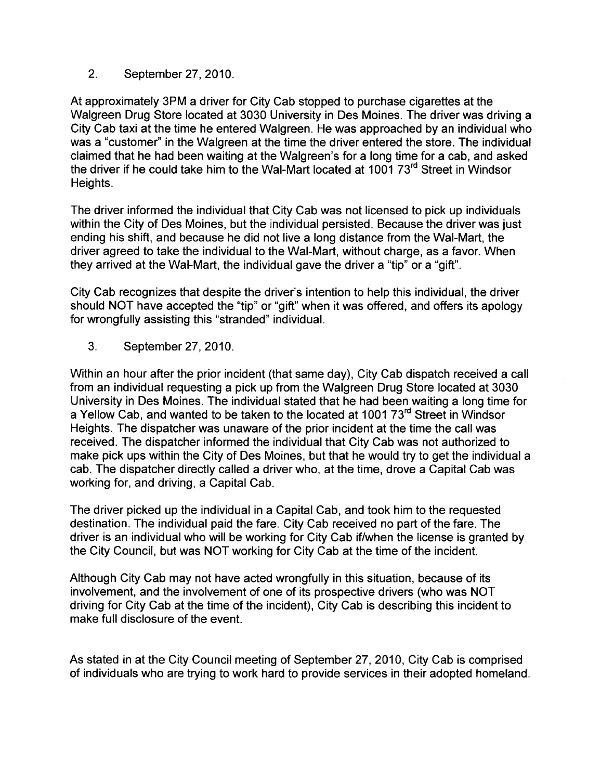2. September 27,2010.

At approximately 3PM a driver for City Cab stopped to purchase cigarettes at the Walgreen Drug Store located at 3030 University in Des Moines. The driver was driving a City Cab taxi at the time he entered Walgreen. He was approached by an individual who was a "customer" in the Walgreen at the time the driver entered the store. The individual claimed that he had been waiting at the Walgreen's for a long time for a cab, and asked the driver if he could take him to the Wal-Mart located at 1001  $73<sup>rd</sup>$  Street in Windsor Heights.

The driver informed the individual that City Cab was not licensed to pick up individuals within the City of Des Moines, but the individual persisted. Because the driver was just ending his shift, and because he did not live a long distance from the Wal-Mart, the driver agreed to take the individual to the Wal-Mart, without charge, as a favor. When they arrived at the Wal-Mart, the individual gave the driver a "tip" or a "gift".

City Cab recognizes that despite the driver's intention to help this individual, the driver should NOT have accepted the "tip" or "gift" when it was offered, and offers its apology for wrongfully assisting this "stranded" individuaL.

3. September 27,2010.

Within an hour after the prior incident (that same day), City Cab dispatch received a call from an individual requesting a pick up from the Walgreen Drug Store located at 3030 University in Des Moines. The individual stated that he had been waiting a long time for a Yellow Cab, and wanted to be taken to the located at 1001 73<sup>rd</sup> Street in Windsor Heights. The dispatcher was unaware of the prior incident at the time the call was received. The dispatcher informed the individual that City Cab was not authorized to make pick ups within the City of Des Moines, but that he would try to get the individual a cab. The dispatcher directly called a driver who, at the time, drove a Capital Cab was working for, and driving, a Capital Cab.

The driver picked up the individual in a Capital Cab, and took him to the requested destination. The individual paid the fare. City Cab received no part of the fare. The driver is an individual who will be working for City Cab if/when the license is granted by the City Council, but was NOT working for City Cab at the time of the incident.

Although City Cab may not have acted wrongfully in this situation, because of its involvement, and the involvement of one of its prospective drivers (who was NOT driving for City Cab at the time of the incident), City Cab is describing this incident to make full disclosure of the event.

As stated in at the City Council meeting of September 27,2010, City Cab is comprised of individuals who are trying to work hard to provide services in their adopted homeland.